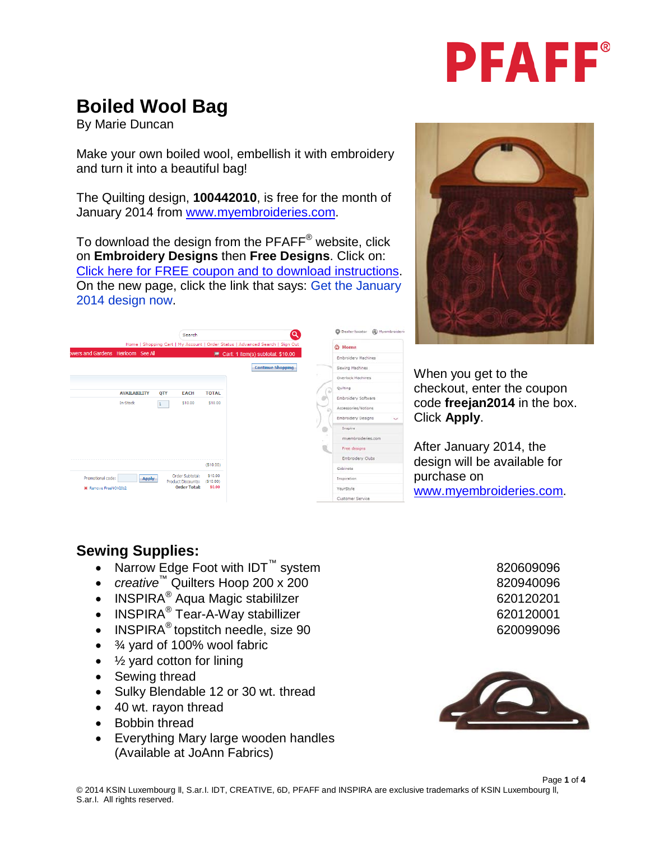

## **Boiled Wool Bag**

By Marie Duncan

Make your own boiled wool, embellish it with embroidery and turn it into a beautiful bag!

The Quilting design, **100442010**, is free for the month of January 2014 from [www.myembroideries.com.](http://www.myembroideries.com/)

To download the design from the PFAFF® website, click on **Embroidery Designs** then **Free Designs**. Click on: [Click here for FREE coupon and to download instructions.](http://www.pfaffusa.com/721_34312.html) On the new page, click the link that says: Get the January 2014 design now.





When you get to the checkout, enter the coupon code **freejan2014** in the box. Click **Apply**.

After January 2014, the design will be available for purchase on [www.myembroideries.com.](http://www.myembroideries.com/)

## **Sewing Supplies:**

- Narrow Edge Foot with IDT<sup>™</sup> system 820609096
- *creative*™ Quilters Hoop 200 x 200
- INSPIRA<sup>®</sup> Aqua Magic stabililzer 620120201
- INSPIRA<sup>®</sup> Tear-A-Way stabillizer 620120001
- INSPIRA<sup>®</sup> topstitch needle, size 90 620099096
- ¾ yard of 100% wool fabric
- $\bullet$   $\frac{1}{2}$  yard cotton for lining
- Sewing thread
- Sulky Blendable 12 or 30 wt. thread
- 40 wt. rayon thread
- Bobbin thread
- Everything Mary large wooden handles (Available at JoAnn Fabrics)



Page **1** of **4**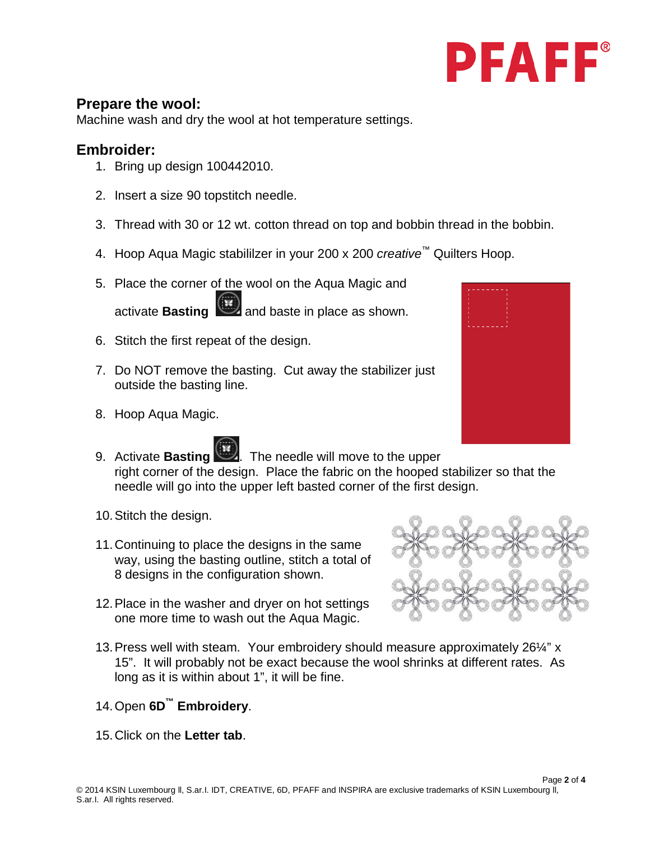

## **Prepare the wool:**

Machine wash and dry the wool at hot temperature settings.

## **Embroider:**

- 1. Bring up design 100442010.
- 2. Insert a size 90 topstitch needle.
- 3. Thread with 30 or 12 wt. cotton thread on top and bobbin thread in the bobbin.
- 4. Hoop Aqua Magic stabililzer in your 200 x 200 *creative™* Quilters Hoop.
- 5. Place the corner of the wool on the Aqua Magic and activate **Basting and baste in place as shown.**
- 6. Stitch the first repeat of the design.
- 7. Do NOT remove the basting. Cut away the stabilizer just outside the basting line.
- 8. Hoop Aqua Magic.



- 9. Activate **Basting ...** The needle will move to the upper right corner of the design. Place the fabric on the hooped stabilizer so that the needle will go into the upper left basted corner of the first design.
	- 10.Stitch the design.
	- 11.Continuing to place the designs in the same way, using the basting outline, stitch a total of 8 designs in the configuration shown.
	- 12.Place in the washer and dryer on hot settings one more time to wash out the Aqua Magic.



- 13.Press well with steam. Your embroidery should measure approximately 26¼" x 15". It will probably not be exact because the wool shrinks at different rates. As long as it is within about 1", it will be fine.
- 14.Open **6D™ Embroidery**.
- 15.Click on the **Letter tab**.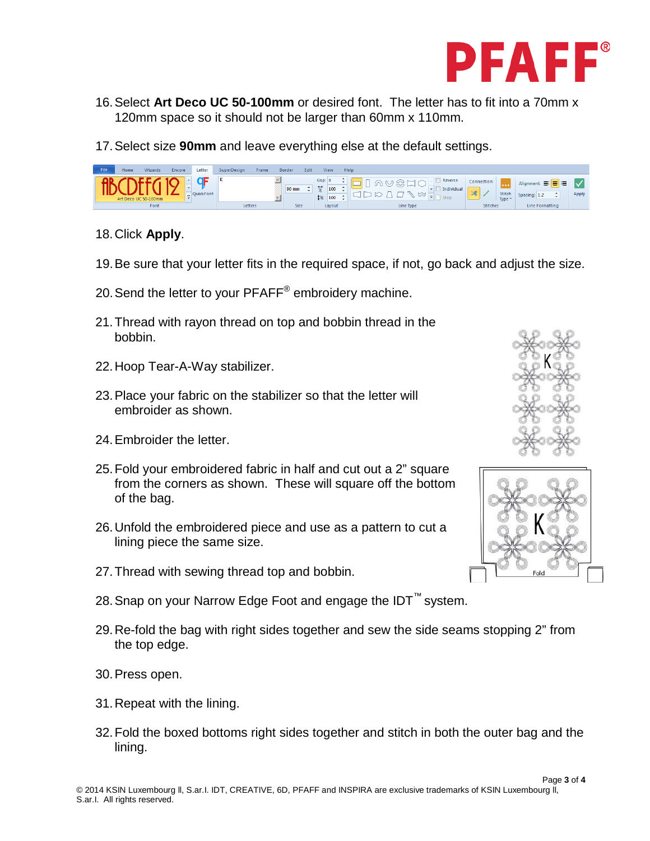

- 16.Select **Art Deco UC 50-100mm** or desired font. The letter has to fit into a 70mm x 120mm space so it should not be larger than 60mm x 110mm.
- 17.Select size **90mm** and leave everything else at the default settings.

| Gap: I<br>Reverse<br>Connection:<br>Alignment: 手号目<br>$\leftrightarrow$<br>90 mm<br>100<br>Individual<br>ж<br><b>Stitch</b><br>Apply<br>QuickFont<br>$\rightarrow$<br>Spacing: 1.2<br>$1\%$<br>100<br>Step<br>Art Deco UC 50-100mm<br>Type $\ast$ | File | Home | <b>Wizards</b> | <b>Encore</b> | Letter | SuperDesian<br><b>Frame</b> | Edit<br><b>Border</b> | View | Help      |                 |                 |  |
|---------------------------------------------------------------------------------------------------------------------------------------------------------------------------------------------------------------------------------------------------|------|------|----------------|---------------|--------|-----------------------------|-----------------------|------|-----------|-----------------|-----------------|--|
| Lavout                                                                                                                                                                                                                                            |      |      | Font           |               |        | Letters                     | Size                  |      | Line Type | <b>Stitches</b> | Line Formatting |  |

- 18.Click **Apply**.
- 19.Be sure that your letter fits in the required space, if not, go back and adjust the size.
- 20. Send the letter to your PFAFF<sup>®</sup> embroidery machine.
- 21.Thread with rayon thread on top and bobbin thread in the bobbin.
- 22.Hoop Tear-A-Way stabilizer.
- 23.Place your fabric on the stabilizer so that the letter will embroider as shown.
- 24.Embroider the letter.
- 25.Fold your embroidered fabric in half and cut out a 2" square from the corners as shown. These will square off the bottom of the bag.
- 26.Unfold the embroidered piece and use as a pattern to cut a lining piece the same size.
- 27.Thread with sewing thread top and bobbin.
- 28. Snap on your Narrow Edge Foot and engage the IDT<sup>™</sup> system.
- 29.Re-fold the bag with right sides together and sew the side seams stopping 2" from the top edge.
- 30.Press open.
- 31.Repeat with the lining.
- 32.Fold the boxed bottoms right sides together and stitch in both the outer bag and the lining.